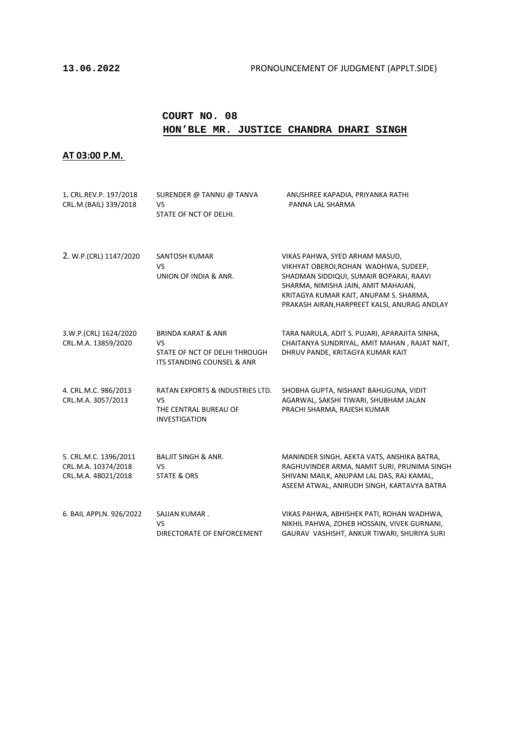### **COURT NO. 08 HON'BLE MR. JUSTICE CHANDRA DHARI SINGH**

### **AT 03:00 P.M.**

| 1. CRL.REV.P. 197/2018<br>CRL.M.(BAIL) 339/2018                     | SURENDER @ TANNU @ TANVA<br>VS<br>STATE OF NCT OF DELHI.                                           | ANUSHREE KAPADIA, PRIYANKA RATHI<br>PANNA LAL SHARMA                                                                                                                                                                                                |
|---------------------------------------------------------------------|----------------------------------------------------------------------------------------------------|-----------------------------------------------------------------------------------------------------------------------------------------------------------------------------------------------------------------------------------------------------|
| 2. W.P.(CRL) 1147/2020                                              | SANTOSH KUMAR<br>VS<br>UNION OF INDIA & ANR.                                                       | VIKAS PAHWA, SYED ARHAM MASUD,<br>VIKHYAT OBEROI, ROHAN WADHWA, SUDEEP,<br>SHADMAN SIDDIQUI, SUMAIR BOPARAI, RAAVI<br>SHARMA, NIMISHA JAIN, AMIT MAHAJAN,<br>KRITAGYA KUMAR KAIT, ANUPAM S. SHARMA,<br>PRAKASH AIRAN, HARPREET KALSI, ANURAG ANDLAY |
| 3.W.P.(CRL) 1624/2020<br>CRL.M.A. 13859/2020                        | <b>BRINDA KARAT &amp; ANR</b><br>VS<br>STATE OF NCT OF DELHI THROUGH<br>ITS STANDING COUNSEL & ANR | TARA NARULA, ADIT S. PUJARI, APARAJITA SINHA,<br>CHAITANYA SUNDRIYAL, AMIT MAHAN, RAJAT NAIT,<br>DHRUV PANDE, KRITAGYA KUMAR KAIT                                                                                                                   |
| 4. CRL.M.C. 986/2013<br>CRL.M.A. 3057/2013                          | RATAN EXPORTS & INDUSTRIES LTD.<br>VS<br>THE CENTRAL BUREAU OF<br><b>INVESTIGATION</b>             | SHOBHA GUPTA, NISHANT BAHUGUNA, VIDIT<br>AGARWAL, SAKSHI TIWARI, SHUBHAM JALAN<br>PRACHI SHARMA, RAJESH KUMAR                                                                                                                                       |
| 5. CRL.M.C. 1396/2011<br>CRL.M.A. 10374/2018<br>CRL.M.A. 48021/2018 | <b>BALJIT SINGH &amp; ANR.</b><br>VS<br><b>STATE &amp; ORS</b>                                     | MANINDER SINGH, AEKTA VATS, ANSHIKA BATRA,<br>RAGHUVINDER ARMA, NAMIT SURI, PRUNIMA SINGH<br>SHIVANI MAILK, ANUPAM LAL DAS, RAJ KAMAL,<br>ASEEM ATWAL, ANIRUDH SINGH, KARTAVYA BATRA                                                                |
| 6. BAIL APPLN. 926/2022                                             | SAJJAN KUMAR.<br>VS<br>DIRECTORATE OF ENFORCEMENT                                                  | VIKAS PAHWA, ABHISHEK PATI, ROHAN WADHWA,<br>NIKHIL PAHWA, ZOHEB HOSSAIN, VIVEK GURNANI,<br>GAURAV VASHISHT, ANKUR TIWARI, SHURIYA SURI                                                                                                             |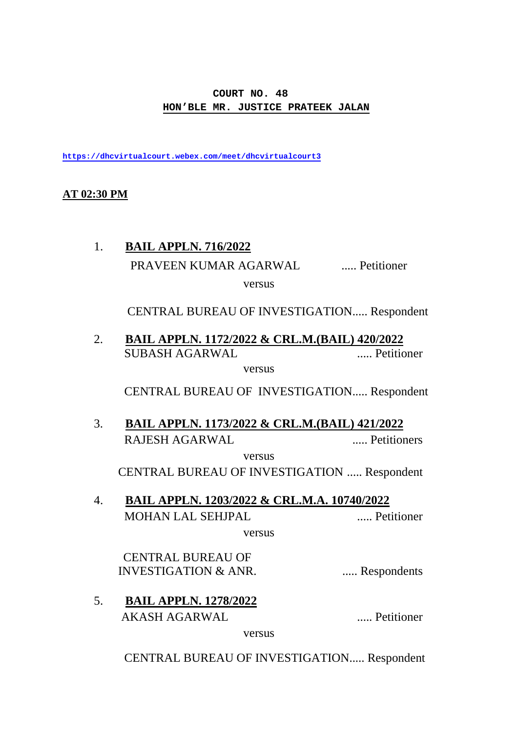### **COURT NO. 48 HON'BLE MR. JUSTICE PRATEEK JALAN**

**<https://dhcvirtualcourt.webex.com/meet/dhcvirtualcourt3>**

### **AT 02:30 PM**

# 1. **BAIL APPLN. 716/2022** PRAVEEN KUMAR AGARWAL ..... Petitioner versus

CENTRAL BUREAU OF INVESTIGATION..... Respondent

2. SUBASH AGARWAL ..... Petitioner **BAIL APPLN. 1172/2022 & CRL.M.(BAIL) 420/2022**

versus

CENTRAL BUREAU OF INVESTIGATION..... Respondent

3. RAJESH AGARWAL ..... Petitioners **BAIL APPLN. 1173/2022 & CRL.M.(BAIL) 421/2022** versus

CENTRAL BUREAU OF INVESTIGATION ..... Respondent

4. MOHAN LAL SEHJPAL ..... Petitioner **BAIL APPLN. 1203/2022 & CRL.M.A. 10740/2022**

versus

 CENTRAL BUREAU OF INVESTIGATION & ANR. ...... Respondents

5. **BAIL APPLN. 1278/2022** AKASH AGARWAL ..... Petitioner

versus

CENTRAL BUREAU OF INVESTIGATION..... Respondent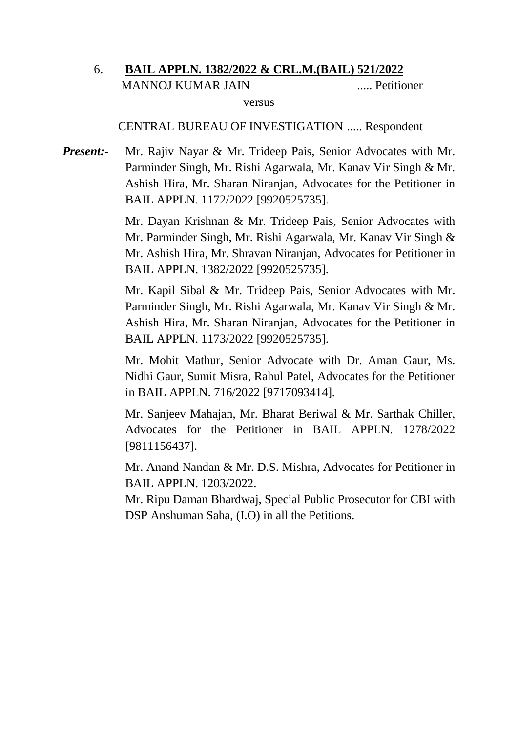#### 6. MANNOJ KUMAR JAIN ..... Petitioner **BAIL APPLN. 1382/2022 & CRL.M.(BAIL) 521/2022** versus

### CENTRAL BUREAU OF INVESTIGATION ..... Respondent

*Present:-* Mr. Rajiv Nayar & Mr. Trideep Pais, Senior Advocates with Mr. Parminder Singh, Mr. Rishi Agarwala, Mr. Kanav Vir Singh & Mr. Ashish Hira, Mr. Sharan Niranjan, Advocates for the Petitioner in BAIL APPLN. 1172/2022 [9920525735].

> Mr. Dayan Krishnan & Mr. Trideep Pais, Senior Advocates with Mr. Parminder Singh, Mr. Rishi Agarwala, Mr. Kanav Vir Singh & Mr. Ashish Hira, Mr. Shravan Niranjan, Advocates for Petitioner in BAIL APPLN. 1382/2022 [9920525735].

> Mr. Kapil Sibal & Mr. Trideep Pais, Senior Advocates with Mr. Parminder Singh, Mr. Rishi Agarwala, Mr. Kanav Vir Singh & Mr. Ashish Hira, Mr. Sharan Niranjan, Advocates for the Petitioner in BAIL APPLN. 1173/2022 [9920525735].

> Mr. Mohit Mathur, Senior Advocate with Dr. Aman Gaur, Ms. Nidhi Gaur, Sumit Misra, Rahul Patel, Advocates for the Petitioner in BAIL APPLN. 716/2022 [9717093414].

> Mr. Sanjeev Mahajan, Mr. Bharat Beriwal & Mr. Sarthak Chiller, Advocates for the Petitioner in BAIL APPLN. 1278/2022 [9811156437].

> Mr. Anand Nandan & Mr. D.S. Mishra, Advocates for Petitioner in BAIL APPLN. 1203/2022.

> Mr. Ripu Daman Bhardwaj, Special Public Prosecutor for CBI with DSP Anshuman Saha, (I.O) in all the Petitions.